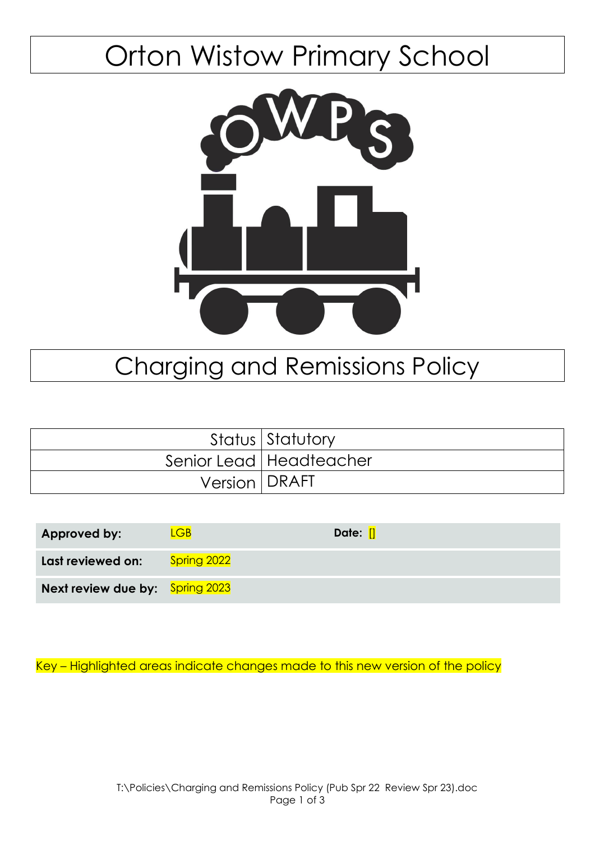# Orton Wistow Primary School



# Charging and Remissions Policy

|                 | Status Statutory          |
|-----------------|---------------------------|
|                 | Senior Lead   Headteacher |
| Version   DRAFT |                           |

| Approved by:                    | GB          | Date: [] |
|---------------------------------|-------------|----------|
| Last reviewed on:               | Spring 2022 |          |
| Next review due by: Spring 2023 |             |          |

Key – Highlighted areas indicate changes made to this new version of the policy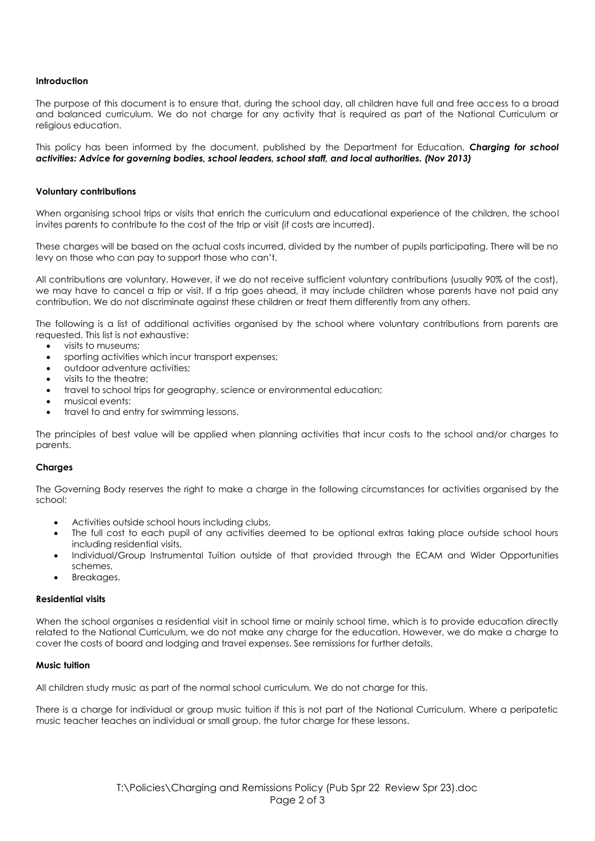# **Introduction**

The purpose of this document is to ensure that, during the school day, all children have full and free access to a broad and balanced curriculum. We do not charge for any activity that is required as part of the National Curriculum or religious education.

This policy has been informed by the document, published by the Department for Education, *Charging for school activities: Advice for governing bodies, school leaders, school staff, and local authorities. (Nov 2013)*

#### **Voluntary contributions**

When organising school trips or visits that enrich the curriculum and educational experience of the children, the school invites parents to contribute to the cost of the trip or visit (if costs are incurred).

These charges will be based on the actual costs incurred, divided by the number of pupils participating. There will be no levy on those who can pay to support those who can't.

All contributions are voluntary. However, if we do not receive sufficient voluntary contributions (usually 90% of the cost), we may have to cancel a trip or visit. If a trip goes ahead, it may include children whose parents have not paid any contribution. We do not discriminate against these children or treat them differently from any others.

The following is a list of additional activities organised by the school where voluntary contributions from parents are requested. This list is not exhaustive:

- visits to museums;
- sporting activities which incur transport expenses;
- outdoor adventure activities;
- visits to the theatre;
- travel to school trips for geography, science or environmental education;
- musical events:
- travel to and entry for swimming lessons.

The principles of best value will be applied when planning activities that incur costs to the school and/or charges to parents.

#### **Charges**

The Governing Body reserves the right to make a charge in the following circumstances for activities organised by the school:

- Activities outside school hours including clubs,
- The full cost to each pupil of any activities deemed to be optional extras taking place outside school hours including residential visits,
- Individual/Group Instrumental Tuition outside of that provided through the ECAM and Wider Opportunities schemes,
- Breakages.

#### **Residential visits**

When the school organises a residential visit in school time or mainly school time, which is to provide education directly related to the National Curriculum, we do not make any charge for the education. However, we do make a charge to cover the costs of board and lodging and travel expenses. See remissions for further details.

#### **Music tuition**

All children study music as part of the normal school curriculum. We do not charge for this.

There is a charge for individual or group music tuition if this is not part of the National Curriculum. Where a peripatetic music teacher teaches an individual or small group, the tutor charge for these lessons.